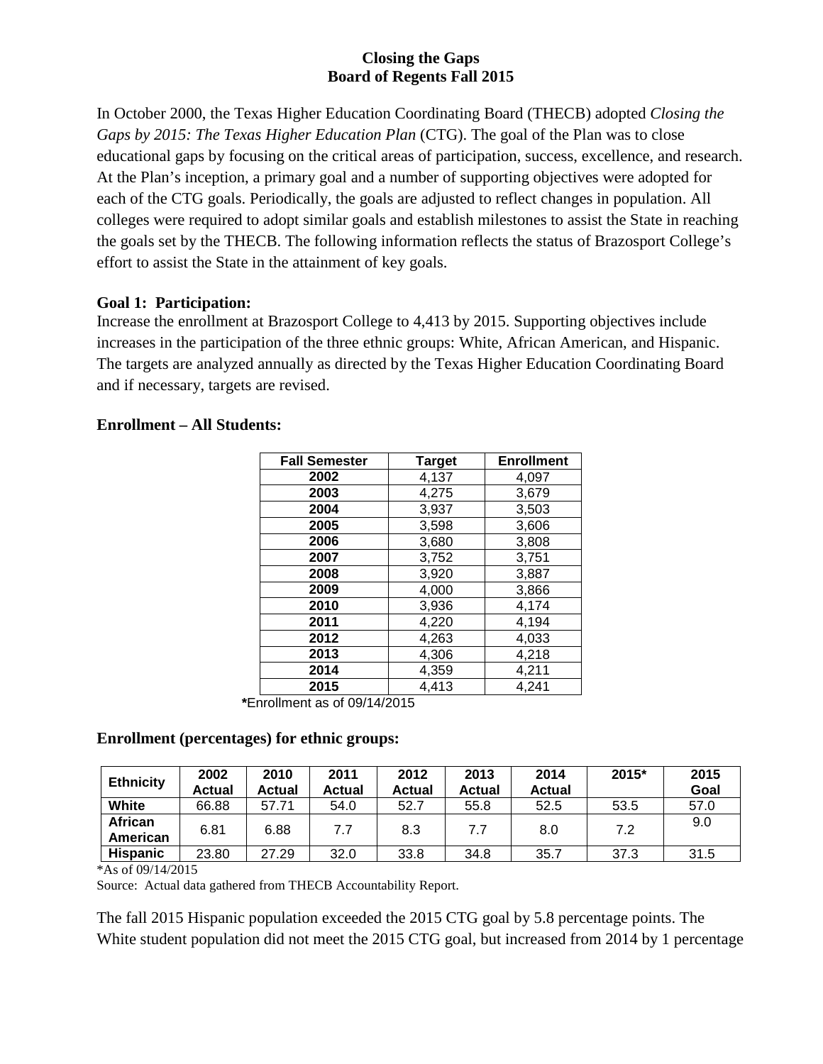# **Closing the Gaps Board of Regents Fall 2015**

In October 2000, the Texas Higher Education Coordinating Board (THECB) adopted *Closing the Gaps by 2015: The Texas Higher Education Plan* (CTG). The goal of the Plan was to close educational gaps by focusing on the critical areas of participation, success, excellence, and research. At the Plan's inception, a primary goal and a number of supporting objectives were adopted for each of the CTG goals. Periodically, the goals are adjusted to reflect changes in population. All colleges were required to adopt similar goals and establish milestones to assist the State in reaching the goals set by the THECB. The following information reflects the status of Brazosport College's effort to assist the State in the attainment of key goals.

#### **Goal 1: Participation:**

Increase the enrollment at Brazosport College to 4,413 by 2015. Supporting objectives include increases in the participation of the three ethnic groups: White, African American, and Hispanic. The targets are analyzed annually as directed by the Texas Higher Education Coordinating Board and if necessary, targets are revised.

#### **Enrollment – All Students:**

| <b>Fall Semester</b> | <b>Target</b> | <b>Enrollment</b> |
|----------------------|---------------|-------------------|
| 2002                 | 4,137         | 4,097             |
| 2003                 | 4,275         | 3,679             |
| 2004                 | 3,937         | 3,503             |
| 2005                 | 3,598         | 3,606             |
| 2006                 | 3,680         | 3,808             |
| 2007                 | 3,752         | 3,751             |
| 2008                 | 3,920         | 3,887             |
| 2009                 | 4,000         | 3,866             |
| 2010                 | 3,936         | 4,174             |
| 2011                 | 4,220         | 4,194             |
| 2012                 | 4,263         | 4,033             |
| 2013                 | 4,306         | 4,218             |
| 2014                 | 4,359         | 4,211             |
| 2015                 | 4,413         | 4,241             |

**\***Enrollment as of 09/14/2015

## **Enrollment (percentages) for ethnic groups:**

| <b>Ethnicity</b>    | 2002<br><b>Actual</b> | 2010<br>Actual | 2011<br>Actual | 2012<br><b>Actual</b> | 2013<br>Actual | 2014<br><b>Actual</b> | 2015* | 2015<br>Goal |
|---------------------|-----------------------|----------------|----------------|-----------------------|----------------|-----------------------|-------|--------------|
| White               | 66.88                 | 57.71          | 54.0           | 52.7                  | 55.8           | 52.5                  | 53.5  | 57.0         |
| African<br>American | 6.81                  | 6.88           | 7.7            | 8.3                   | 7.7            | 8.0                   | 7.2   | 9.0          |
| <b>Hispanic</b>     | 23.80                 | 27.29          | 32.0           | 33.8                  | 34.8           | 35.7                  | 37.3  | 31.5         |

\*As of 09/14/2015

Source: Actual data gathered from THECB Accountability Report.

The fall 2015 Hispanic population exceeded the 2015 CTG goal by 5.8 percentage points. The White student population did not meet the 2015 CTG goal, but increased from 2014 by 1 percentage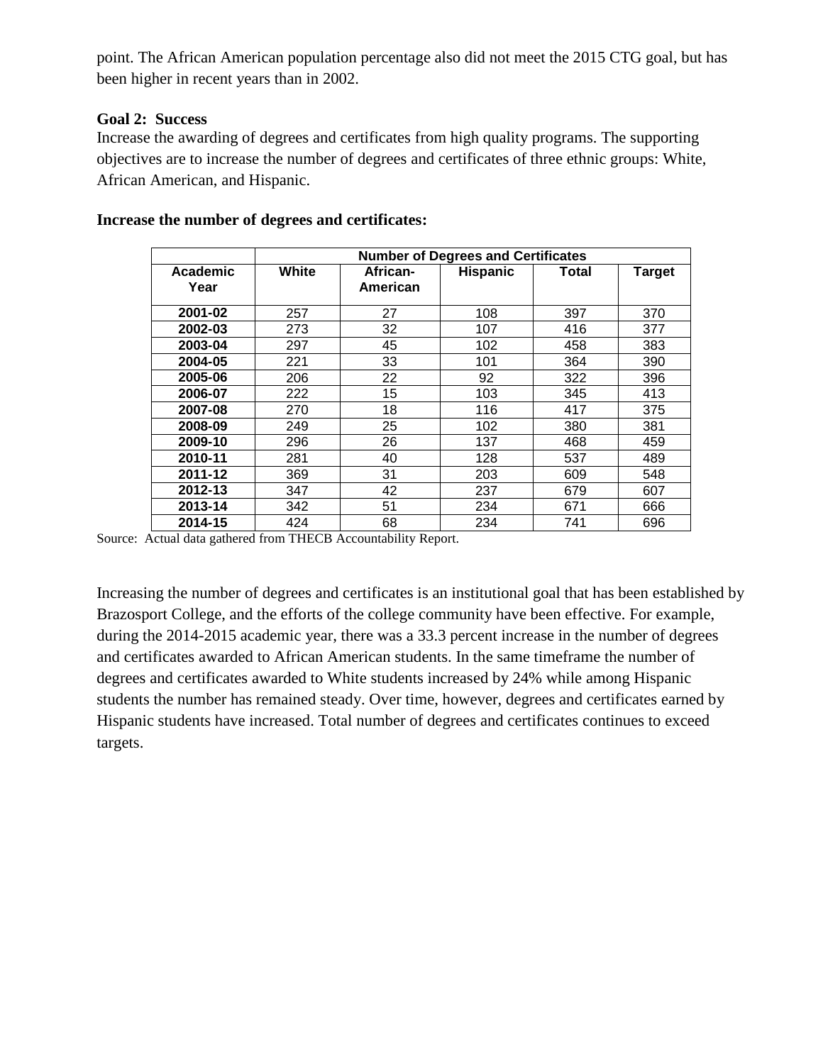point. The African American population percentage also did not meet the 2015 CTG goal, but has been higher in recent years than in 2002.

#### **Goal 2: Success**

Increase the awarding of degrees and certificates from high quality programs. The supporting objectives are to increase the number of degrees and certificates of three ethnic groups: White, African American, and Hispanic.

|                  | <b>Number of Degrees and Certificates</b> |                      |                 |       |               |  |  |  |
|------------------|-------------------------------------------|----------------------|-----------------|-------|---------------|--|--|--|
| Academic<br>Year | White                                     | African-<br>American | <b>Hispanic</b> | Total | <b>Target</b> |  |  |  |
| 2001-02          | 257                                       | 27                   | 108             | 397   | 370           |  |  |  |
| 2002-03          | 273                                       | 32                   | 107             | 416   | 377           |  |  |  |
| 2003-04          | 297                                       | 45                   | 102             | 458   | 383           |  |  |  |
| 2004-05          | 221                                       | 33                   | 101             | 364   | 390           |  |  |  |
| 2005-06          | 206                                       | 22                   | 92              | 322   | 396           |  |  |  |
| 2006-07          | 222                                       | 15                   | 103             | 345   | 413           |  |  |  |
| 2007-08          | 270                                       | 18                   | 116             | 417   | 375           |  |  |  |
| 2008-09          | 249                                       | 25                   | 102             | 380   | 381           |  |  |  |
| 2009-10          | 296                                       | 26                   | 137             | 468   | 459           |  |  |  |
| 2010-11          | 281                                       | 40                   | 128             | 537   | 489           |  |  |  |
| 2011-12          | 369                                       | 31                   | 203             | 609   | 548           |  |  |  |
| 2012-13          | 347                                       | 42                   | 237             | 679   | 607           |  |  |  |
| 2013-14          | 342                                       | 51                   | 234             | 671   | 666           |  |  |  |
| 2014-15          | 424                                       | 68                   | 234             | 741   | 696           |  |  |  |

#### **Increase the number of degrees and certificates:**

Source: Actual data gathered from THECB Accountability Report.

Increasing the number of degrees and certificates is an institutional goal that has been established by Brazosport College, and the efforts of the college community have been effective. For example, during the 2014-2015 academic year, there was a 33.3 percent increase in the number of degrees and certificates awarded to African American students. In the same timeframe the number of degrees and certificates awarded to White students increased by 24% while among Hispanic students the number has remained steady. Over time, however, degrees and certificates earned by Hispanic students have increased. Total number of degrees and certificates continues to exceed targets.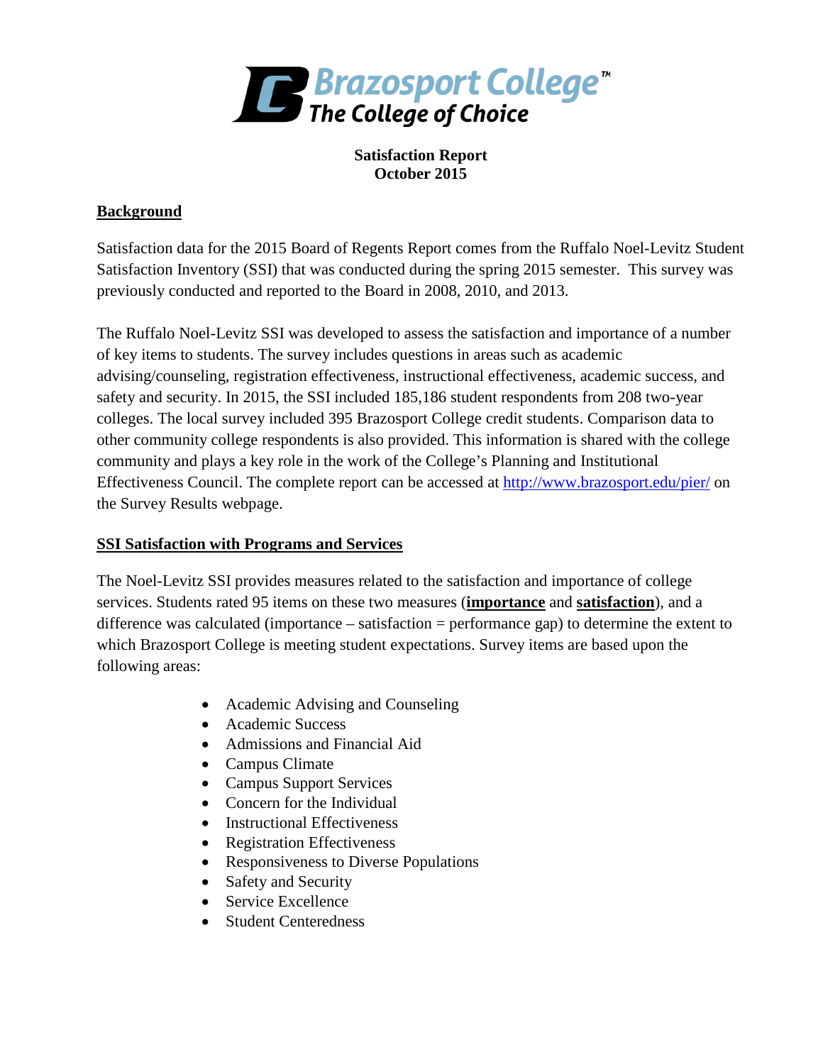

# **Satisfaction Report October 2015**

# **Background**

Satisfaction data for the 2015 Board of Regents Report comes from the Ruffalo Noel-Levitz Student Satisfaction Inventory (SSI) that was conducted during the spring 2015 semester. This survey was previously conducted and reported to the Board in 2008, 2010, and 2013.

The Ruffalo Noel-Levitz SSI was developed to assess the satisfaction and importance of a number of key items to students. The survey includes questions in areas such as academic advising/counseling, registration effectiveness, instructional effectiveness, academic success, and safety and security. In 2015, the SSI included 185,186 student respondents from 208 two-year colleges. The local survey included 395 Brazosport College credit students. Comparison data to other community college respondents is also provided. This information is shared with the college community and plays a key role in the work of the College's Planning and Institutional Effectiveness Council. The complete report can be accessed at<http://www.brazosport.edu/pier/> on the Survey Results webpage.

## **SSI Satisfaction with Programs and Services**

The Noel-Levitz SSI provides measures related to the satisfaction and importance of college services. Students rated 95 items on these two measures (**importance** and **satisfaction**), and a difference was calculated (importance – satisfaction = performance gap) to determine the extent to which Brazosport College is meeting student expectations. Survey items are based upon the following areas:

- Academic Advising and Counseling
- Academic Success
- Admissions and Financial Aid
- Campus Climate
- Campus Support Services
- Concern for the Individual
- Instructional Effectiveness
- Registration Effectiveness
- Responsiveness to Diverse Populations
- Safety and Security
- Service Excellence
- Student Centeredness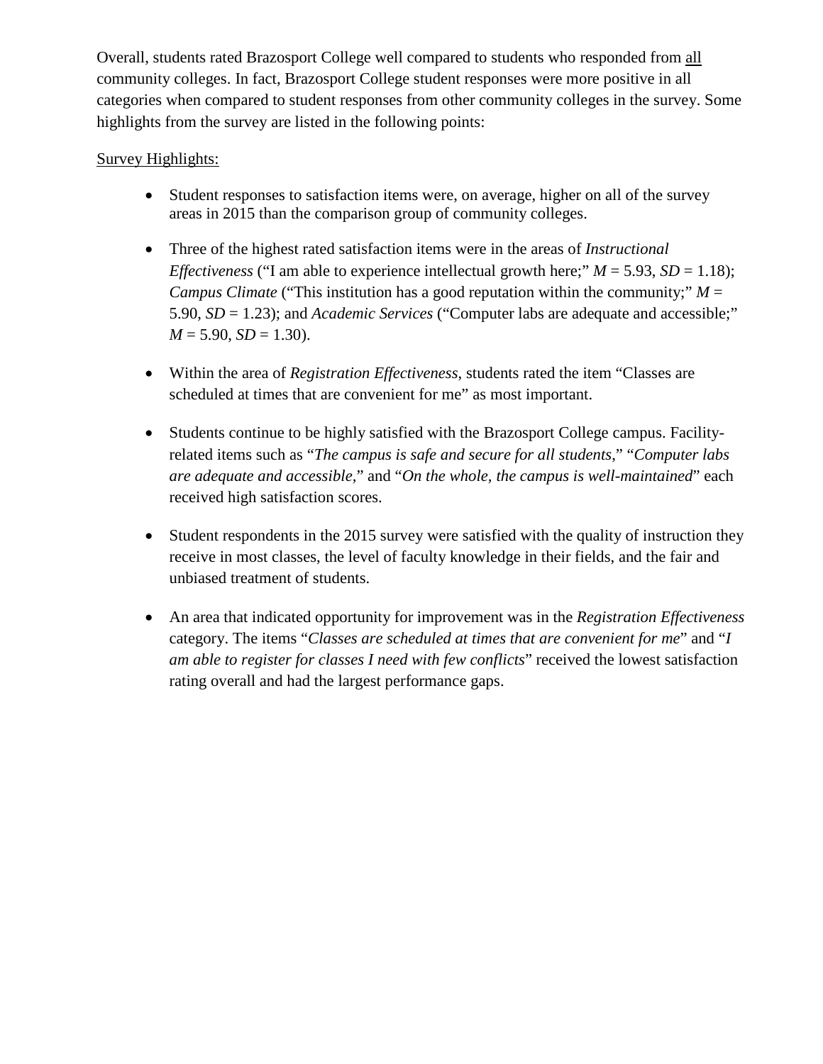Overall, students rated Brazosport College well compared to students who responded from all community colleges. In fact, Brazosport College student responses were more positive in all categories when compared to student responses from other community colleges in the survey. Some highlights from the survey are listed in the following points:

# Survey Highlights:

- Student responses to satisfaction items were, on average, higher on all of the survey areas in 2015 than the comparison group of community colleges.
- Three of the highest rated satisfaction items were in the areas of *Instructional Effectiveness* ("I am able to experience intellectual growth here;"  $M = 5.93$ ,  $SD = 1.18$ ); *Campus Climate* ("This institution has a good reputation within the community;"  $M =$ 5.90, *SD* = 1.23); and *Academic Services* ("Computer labs are adequate and accessible;"  $M = 5.90, SD = 1.30$ .
- Within the area of *Registration Effectiveness*, students rated the item "Classes are scheduled at times that are convenient for me" as most important.
- Students continue to be highly satisfied with the Brazosport College campus. Facilityrelated items such as "*The campus is safe and secure for all students*," "*Computer labs are adequate and accessible*," and "*On the whole, the campus is well-maintained*" each received high satisfaction scores.
- Student respondents in the 2015 survey were satisfied with the quality of instruction they receive in most classes, the level of faculty knowledge in their fields, and the fair and unbiased treatment of students.
- An area that indicated opportunity for improvement was in the *Registration Effectiveness* category. The items "*Classes are scheduled at times that are convenient for me*" and "*I am able to register for classes I need with few conflicts*" received the lowest satisfaction rating overall and had the largest performance gaps.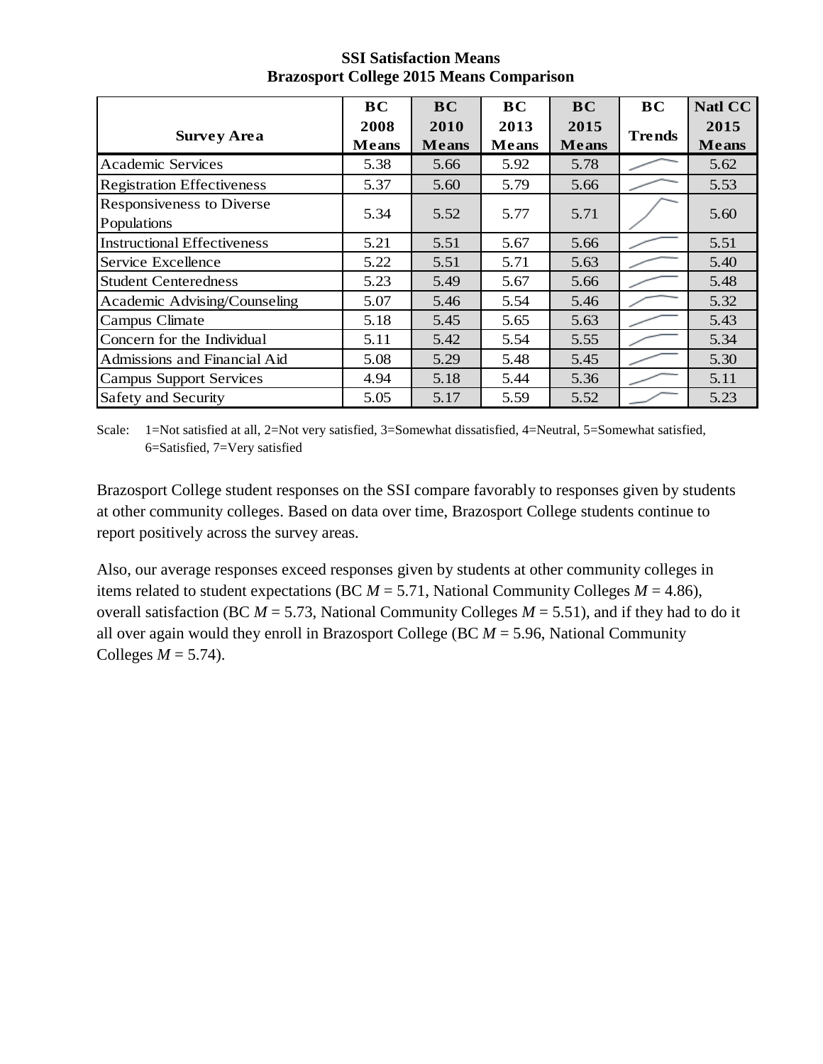|                                          | <b>BC</b>            | <b>BC</b>            | <b>BC</b>            | <b>BC</b>            | <b>BC</b>     | <b>Natl CC</b>       |
|------------------------------------------|----------------------|----------------------|----------------------|----------------------|---------------|----------------------|
| <b>Survey Area</b>                       | 2008<br><b>Means</b> | 2010<br><b>Means</b> | 2013<br><b>Means</b> | 2015<br><b>Means</b> | <b>Trends</b> | 2015<br><b>Means</b> |
| Academic Services                        | 5.38                 | 5.66                 | 5.92                 | 5.78                 |               | 5.62                 |
| <b>Registration Effectiveness</b>        | 5.37                 | 5.60                 | 5.79                 | 5.66                 |               | 5.53                 |
| Responsiveness to Diverse<br>Populations | 5.34                 | 5.52                 | 5.77                 | 5.71                 |               | 5.60                 |
| <b>Instructional Effectiveness</b>       | 5.21                 | 5.51                 | 5.67                 | 5.66                 |               | 5.51                 |
| Service Excellence                       | 5.22                 | 5.51                 | 5.71                 | 5.63                 |               | 5.40                 |
| <b>Student Centeredness</b>              | 5.23                 | 5.49                 | 5.67                 | 5.66                 |               | 5.48                 |
| Academic Advising/Counseling             | 5.07                 | 5.46                 | 5.54                 | 5.46                 |               | 5.32                 |
| Campus Climate                           | 5.18                 | 5.45                 | 5.65                 | 5.63                 |               | 5.43                 |
| Concern for the Individual               | 5.11                 | 5.42                 | 5.54                 | 5.55                 |               | 5.34                 |
| Admissions and Financial Aid             | 5.08                 | 5.29                 | 5.48                 | 5.45                 |               | 5.30                 |
| <b>Campus Support Services</b>           | 4.94                 | 5.18                 | 5.44                 | 5.36                 |               | 5.11                 |
| <b>Safety and Security</b>               | 5.05                 | 5.17                 | 5.59                 | 5.52                 |               | 5.23                 |

#### **SSI Satisfaction Means Brazosport College 2015 Means Comparison**

Scale: 1=Not satisfied at all, 2=Not very satisfied, 3=Somewhat dissatisfied, 4=Neutral, 5=Somewhat satisfied, 6=Satisfied, 7=Very satisfied

Brazosport College student responses on the SSI compare favorably to responses given by students at other community colleges. Based on data over time, Brazosport College students continue to report positively across the survey areas.

Also, our average responses exceed responses given by students at other community colleges in items related to student expectations (BC  $M = 5.71$ , National Community Colleges  $M = 4.86$ ), overall satisfaction (BC *M* = 5.73, National Community Colleges *M* = 5.51), and if they had to do it all over again would they enroll in Brazosport College (BC *M* = 5.96, National Community Colleges  $M = 5.74$ ).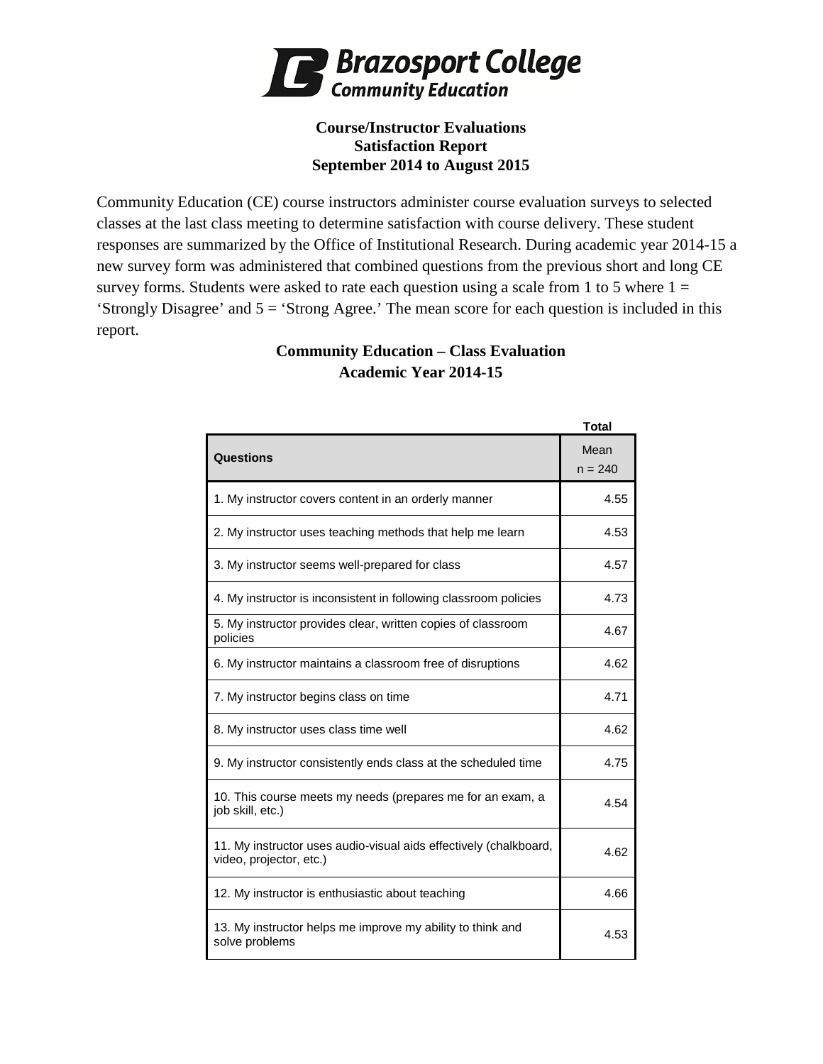

## **Course/Instructor Evaluations Satisfaction Report September 2014 to August 2015**

Community Education (CE) course instructors administer course evaluation surveys to selected classes at the last class meeting to determine satisfaction with course delivery. These student responses are summarized by the Office of Institutional Research. During academic year 2014-15 a new survey form was administered that combined questions from the previous short and long CE survey forms. Students were asked to rate each question using a scale from 1 to 5 where  $1 =$ 'Strongly Disagree' and  $5 =$  'Strong Agree.' The mean score for each question is included in this report.

# **Community Education – Class Evaluation Academic Year 2014-15**

|                                                                                              | Total             |
|----------------------------------------------------------------------------------------------|-------------------|
| Questions                                                                                    | Mean<br>$n = 240$ |
| 1. My instructor covers content in an orderly manner                                         | 4.55              |
| 2. My instructor uses teaching methods that help me learn                                    | 4.53              |
| 3. My instructor seems well-prepared for class                                               | 4.57              |
| 4. My instructor is inconsistent in following classroom policies                             | 4.73              |
| 5. My instructor provides clear, written copies of classroom<br>policies                     | 4.67              |
| 6. My instructor maintains a classroom free of disruptions                                   | 4.62              |
| 7. My instructor begins class on time                                                        | 4.71              |
| 8. My instructor uses class time well                                                        | 4.62              |
| 9. My instructor consistently ends class at the scheduled time                               | 4.75              |
| 10. This course meets my needs (prepares me for an exam, a<br>job skill, etc.)               | 4.54              |
| 11. My instructor uses audio-visual aids effectively (chalkboard,<br>video, projector, etc.) | 4.62              |
| 12. My instructor is enthusiastic about teaching                                             | 4.66              |
| 13. My instructor helps me improve my ability to think and<br>solve problems                 | 4.53              |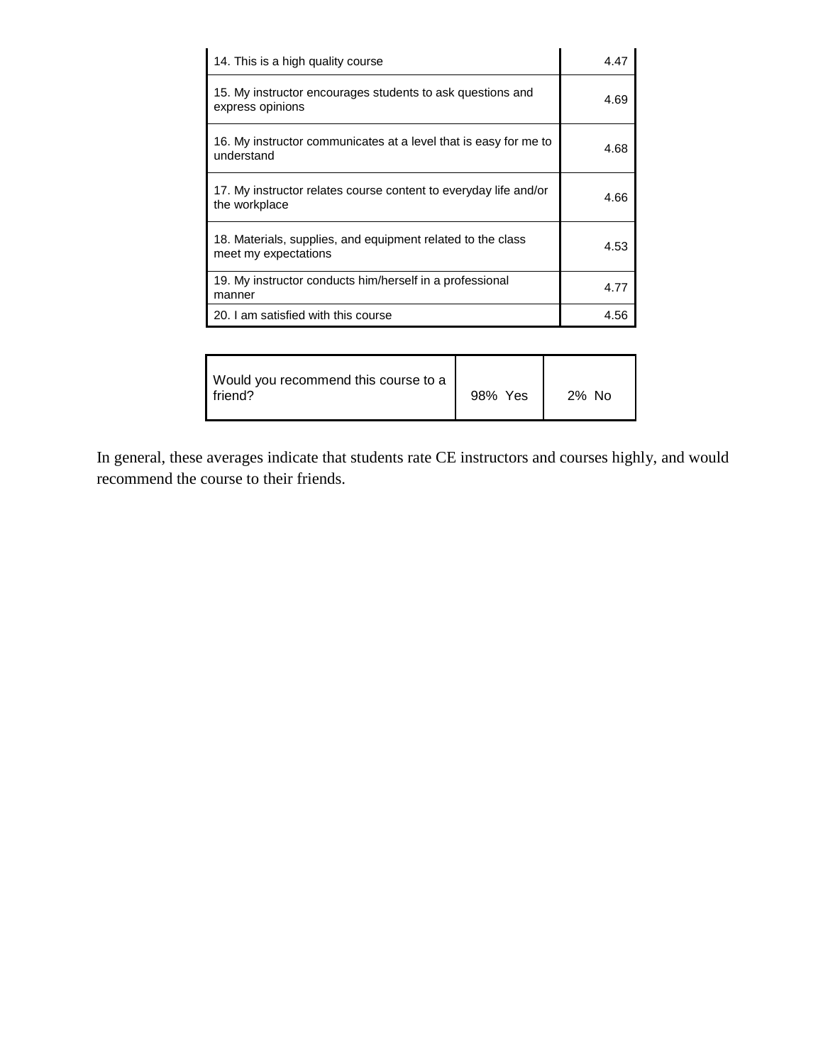| 14. This is a high quality course                                                   | 4.47 |
|-------------------------------------------------------------------------------------|------|
| 15. My instructor encourages students to ask questions and<br>express opinions      | 4.69 |
| 16. My instructor communicates at a level that is easy for me to<br>understand      | 4.68 |
| 17. My instructor relates course content to everyday life and/or<br>the workplace   | 4.66 |
| 18. Materials, supplies, and equipment related to the class<br>meet my expectations | 4.53 |
| 19. My instructor conducts him/herself in a professional<br>manner                  | 4.77 |
| 20. I am satisfied with this course                                                 | 4.56 |

| Would you recommend this course to a<br>I friend? | 98% Yes | 2% No |
|---------------------------------------------------|---------|-------|
|---------------------------------------------------|---------|-------|

In general, these averages indicate that students rate CE instructors and courses highly, and would recommend the course to their friends.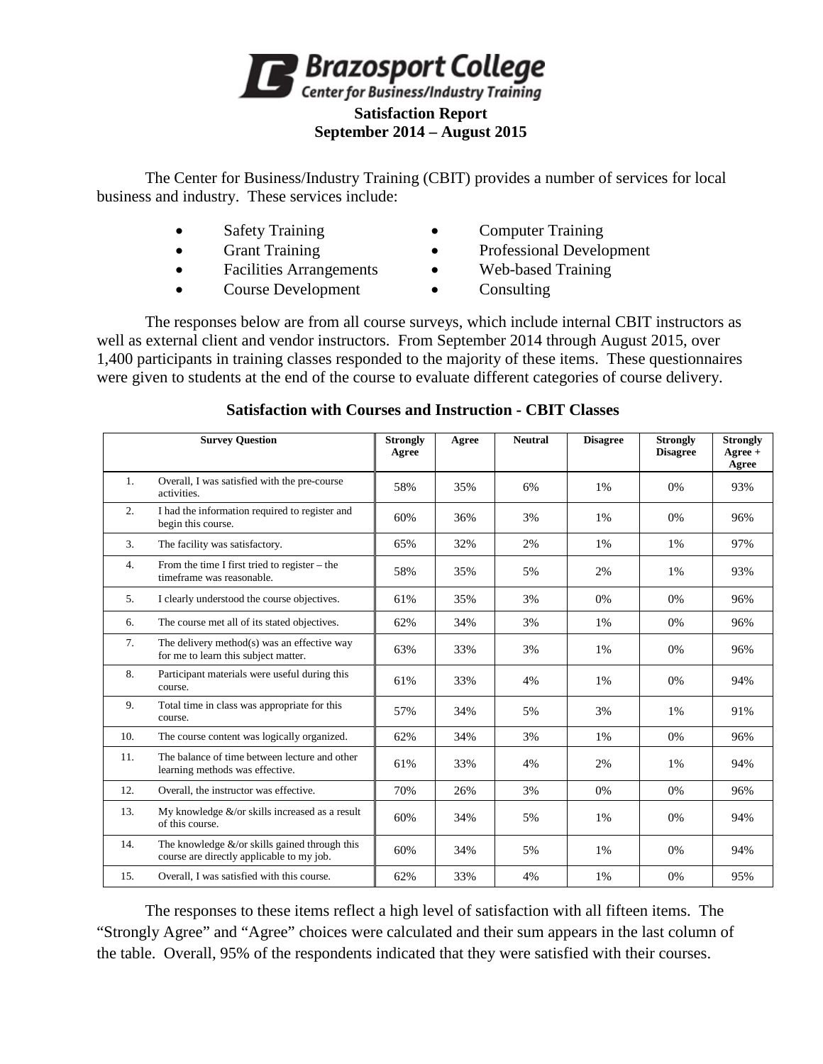

The Center for Business/Industry Training (CBIT) provides a number of services for local business and industry. These services include:

- 
- 
- 
- Course Development Consulting
- Safety Training Computer Training
- Grant Training Professional Development
- Facilities Arrangements Web-based Training
	-

The responses below are from all course surveys, which include internal CBIT instructors as well as external client and vendor instructors. From September 2014 through August 2015, over 1,400 participants in training classes responded to the majority of these items. These questionnaires were given to students at the end of the course to evaluate different categories of course delivery.

|                  | <b>Survey Question</b>                                                                         | <b>Strongly</b><br>Agree | Agree | <b>Neutral</b> | <b>Disagree</b> | <b>Strongly</b><br><b>Disagree</b> | <b>Strongly</b><br>$A\text{gree} +$<br>Agree |
|------------------|------------------------------------------------------------------------------------------------|--------------------------|-------|----------------|-----------------|------------------------------------|----------------------------------------------|
| 1.               | Overall, I was satisfied with the pre-course<br>activities.                                    | 58%                      | 35%   | 6%             | 1%              | 0%                                 | 93%                                          |
| $\overline{2}$ . | I had the information required to register and<br>begin this course.                           | 60%                      | 36%   | 3%             | 1%              | 0%                                 | 96%                                          |
| 3.               | The facility was satisfactory.                                                                 | 65%                      | 32%   | 2%             | 1%              | 1%                                 | 97%                                          |
| 4.               | From the time I first tried to register – the<br>timeframe was reasonable.                     | 58%                      | 35%   | 5%             | 2%              | 1%                                 | 93%                                          |
| 5.               | I clearly understood the course objectives.                                                    | 61%                      | 35%   | 3%             | 0%              | 0%                                 | 96%                                          |
| 6.               | The course met all of its stated objectives.                                                   | 62%                      | 34%   | 3%             | 1%              | 0%                                 | 96%                                          |
| 7.               | The delivery method(s) was an effective way<br>for me to learn this subject matter.            | 63%                      | 33%   | 3%             | 1%              | 0%                                 | 96%                                          |
| 8.               | Participant materials were useful during this<br>course.                                       | 61%                      | 33%   | 4%             | 1%              | 0%                                 | 94%                                          |
| 9.               | Total time in class was appropriate for this<br>course.                                        | 57%                      | 34%   | 5%             | 3%              | 1%                                 | 91%                                          |
| 10.              | The course content was logically organized.                                                    | 62%                      | 34%   | 3%             | 1%              | 0%                                 | 96%                                          |
| 11.              | The balance of time between lecture and other<br>learning methods was effective.               | 61%                      | 33%   | 4%             | 2%              | 1%                                 | 94%                                          |
| 12.              | Overall, the instructor was effective.                                                         | 70%                      | 26%   | 3%             | 0%              | 0%                                 | 96%                                          |
| 13.              | My knowledge $&\text{/}$ or skills increased as a result<br>of this course.                    | 60%                      | 34%   | 5%             | 1%              | 0%                                 | 94%                                          |
| 14.              | The knowledge $\&$ /or skills gained through this<br>course are directly applicable to my job. | 60%                      | 34%   | 5%             | 1%              | 0%                                 | 94%                                          |
| 15.              | Overall. I was satisfied with this course.                                                     | 62%                      | 33%   | 4%             | 1%              | 0%                                 | 95%                                          |

## **Satisfaction with Courses and Instruction - CBIT Classes**

The responses to these items reflect a high level of satisfaction with all fifteen items. The "Strongly Agree" and "Agree" choices were calculated and their sum appears in the last column of the table. Overall, 95% of the respondents indicated that they were satisfied with their courses.